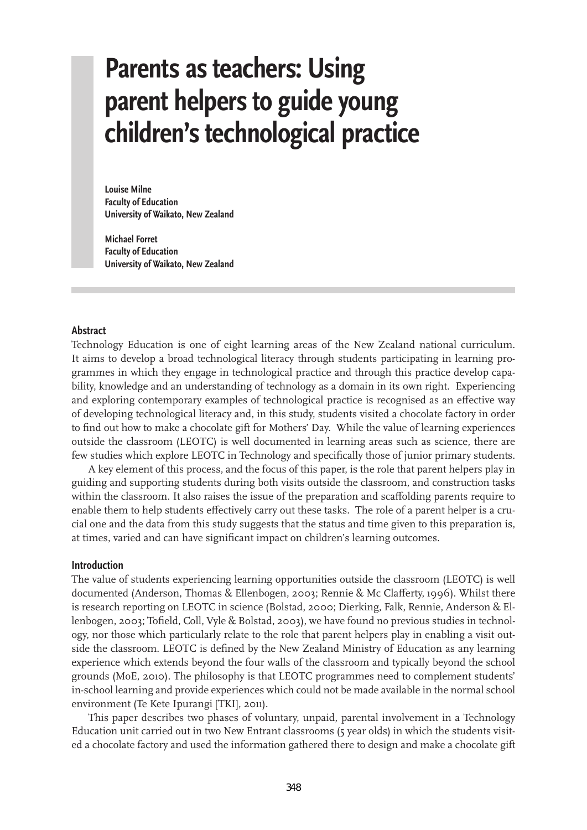# **Parents as teachers: Using parent helpers to guide young children's technological practice**

**Louise Milne Faculty of Education University of Waikato, New Zealand**

**Michael Forret Faculty of Education University of Waikato, New Zealand**

#### **Abstract**

Technology Education is one of eight learning areas of the New Zealand national curriculum. It aims to develop a broad technological literacy through students participating in learning programmes in which they engage in technological practice and through this practice develop capability, knowledge and an understanding of technology as a domain in its own right. Experiencing and exploring contemporary examples of technological practice is recognised as an effective way of developing technological literacy and, in this study, students visited a chocolate factory in order to find out how to make a chocolate gift for Mothers' Day. While the value of learning experiences outside the classroom (LEOTC) is well documented in learning areas such as science, there are few studies which explore LEOTC in Technology and specifically those of junior primary students.

A key element of this process, and the focus of this paper, is the role that parent helpers play in guiding and supporting students during both visits outside the classroom, and construction tasks within the classroom. It also raises the issue of the preparation and scaffolding parents require to enable them to help students effectively carry out these tasks. The role of a parent helper is a crucial one and the data from this study suggests that the status and time given to this preparation is, at times, varied and can have significant impact on children's learning outcomes.

#### **Introduction**

The value of students experiencing learning opportunities outside the classroom (LEOTC) is well documented (Anderson, Thomas & Ellenbogen, 2003; Rennie & Mc Clafferty, 1996). Whilst there is research reporting on LEOTC in science (Bolstad, 2000; Dierking, Falk, Rennie, Anderson & Ellenbogen, 2003; Tofield, Coll, Vyle & Bolstad, 2003), we have found no previous studies in technology, nor those which particularly relate to the role that parent helpers play in enabling a visit outside the classroom. LEOTC is defined by the New Zealand Ministry of Education as any learning experience which extends beyond the four walls of the classroom and typically beyond the school grounds (MoE, 2010). The philosophy is that LEOTC programmes need to complement students' in-school learning and provide experiences which could not be made available in the normal school environment (Te Kete Ipurangi [TKI], 2011).

This paper describes two phases of voluntary, unpaid, parental involvement in a Technology Education unit carried out in two New Entrant classrooms (5 year olds) in which the students visited a chocolate factory and used the information gathered there to design and make a chocolate gift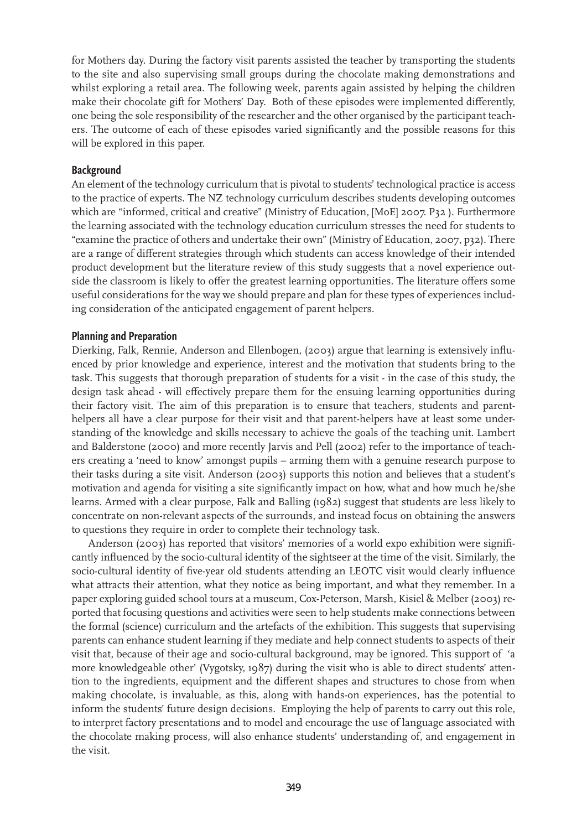for Mothers day. During the factory visit parents assisted the teacher by transporting the students to the site and also supervising small groups during the chocolate making demonstrations and whilst exploring a retail area. The following week, parents again assisted by helping the children make their chocolate gift for Mothers' Day. Both of these episodes were implemented differently, one being the sole responsibility of the researcher and the other organised by the participant teachers. The outcome of each of these episodes varied significantly and the possible reasons for this will be explored in this paper.

### **Background**

An element of the technology curriculum that is pivotal to students' technological practice is access to the practice of experts. The NZ technology curriculum describes students developing outcomes which are "informed, critical and creative" (Ministry of Education, [MoE] 2007. P32 ). Furthermore the learning associated with the technology education curriculum stresses the need for students to "examine the practice of others and undertake their own" (Ministry of Education, 2007, p32). There are a range of different strategies through which students can access knowledge of their intended product development but the literature review of this study suggests that a novel experience outside the classroom is likely to offer the greatest learning opportunities. The literature offers some useful considerations for the way we should prepare and plan for these types of experiences including consideration of the anticipated engagement of parent helpers.

## **Planning and Preparation**

Dierking, Falk, Rennie, Anderson and Ellenbogen, (2003) argue that learning is extensively influenced by prior knowledge and experience, interest and the motivation that students bring to the task. This suggests that thorough preparation of students for a visit - in the case of this study, the design task ahead - will effectively prepare them for the ensuing learning opportunities during their factory visit. The aim of this preparation is to ensure that teachers, students and parenthelpers all have a clear purpose for their visit and that parent-helpers have at least some understanding of the knowledge and skills necessary to achieve the goals of the teaching unit. Lambert and Balderstone (2000) and more recently Jarvis and Pell (2002) refer to the importance of teachers creating a 'need to know' amongst pupils – arming them with a genuine research purpose to their tasks during a site visit. Anderson (2003) supports this notion and believes that a student's motivation and agenda for visiting a site significantly impact on how, what and how much he/she learns. Armed with a clear purpose, Falk and Balling (1982) suggest that students are less likely to concentrate on non-relevant aspects of the surrounds, and instead focus on obtaining the answers to questions they require in order to complete their technology task.

Anderson (2003) has reported that visitors' memories of a world expo exhibition were significantly influenced by the socio-cultural identity of the sightseer at the time of the visit. Similarly, the socio-cultural identity of five-year old students attending an LEOTC visit would clearly influence what attracts their attention, what they notice as being important, and what they remember. In a paper exploring guided school tours at a museum, Cox-Peterson, Marsh, Kisiel & Melber (2003) reported that focusing questions and activities were seen to help students make connections between the formal (science) curriculum and the artefacts of the exhibition. This suggests that supervising parents can enhance student learning if they mediate and help connect students to aspects of their visit that, because of their age and socio-cultural background, may be ignored. This support of 'a more knowledgeable other' (Vygotsky, 1987) during the visit who is able to direct students' attention to the ingredients, equipment and the different shapes and structures to chose from when making chocolate, is invaluable, as this, along with hands-on experiences, has the potential to inform the students' future design decisions. Employing the help of parents to carry out this role, to interpret factory presentations and to model and encourage the use of language associated with the chocolate making process, will also enhance students' understanding of, and engagement in the visit.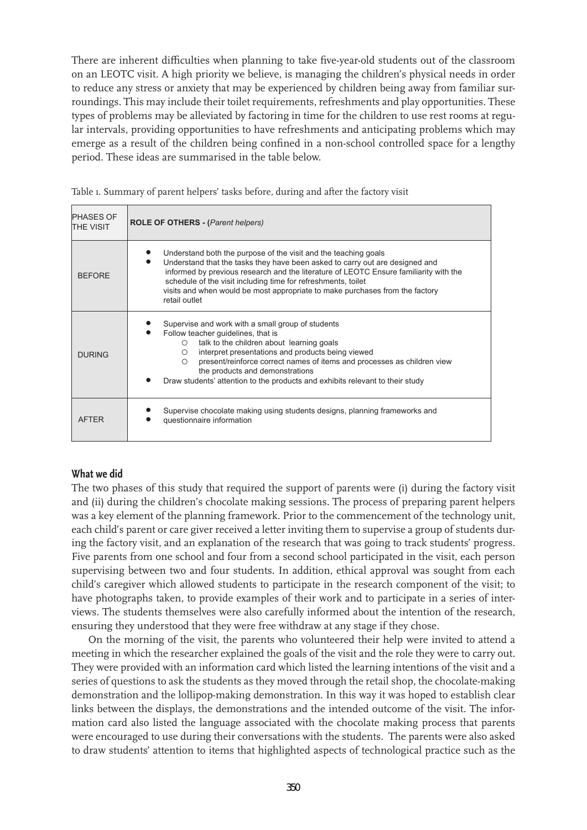There are inherent difficulties when planning to take five-year-old students out of the classroom on an LEOTC visit. A high priority we believe, is managing the children's physical needs in order to reduce any stress or anxiety that may be experienced by children being away from familiar surroundings. This may include their toilet requirements, refreshments and play opportunities. These types of problems may be alleviated by factoring in time for the children to use rest rooms at regular intervals, providing opportunities to have refreshments and anticipating problems which may emerge as a result of the children being confined in a non-school controlled space for a lengthy period. These ideas are summarised in the table below.

| <b>PHASES OF</b><br><b>THE VISIT</b> | <b>ROLE OF OTHERS - (Parent helpers)</b>                                                                                                                                                                                                                                                                                                                                                                               |
|--------------------------------------|------------------------------------------------------------------------------------------------------------------------------------------------------------------------------------------------------------------------------------------------------------------------------------------------------------------------------------------------------------------------------------------------------------------------|
| <b>BEFORE</b>                        | Understand both the purpose of the visit and the teaching goals<br>Understand that the tasks they have been asked to carry out are designed and<br>informed by previous research and the literature of LEOTC Ensure familiarity with the<br>schedule of the visit including time for refreshments, toilet<br>visits and when would be most appropriate to make purchases from the factory<br>retail outlet             |
| <b>DURING</b>                        | Supervise and work with a small group of students<br>Follow teacher guidelines, that is<br>talk to the children about learning goals<br>$\circ$<br>interpret presentations and products being viewed<br>O<br>present/reinforce correct names of items and processes as children view<br>$\bigcirc$<br>the products and demonstrations<br>Draw students' attention to the products and exhibits relevant to their study |
| <b>AFTFR</b>                         | Supervise chocolate making using students designs, planning frameworks and<br>questionnaire information                                                                                                                                                                                                                                                                                                                |

# **What we did**

The two phases of this study that required the support of parents were (i) during the factory visit and (ii) during the children's chocolate making sessions. The process of preparing parent helpers was a key element of the planning framework. Prior to the commencement of the technology unit, each child's parent or care giver received a letter inviting them to supervise a group of students during the factory visit, and an explanation of the research that was going to track students' progress. Five parents from one school and four from a second school participated in the visit, each person supervising between two and four students. In addition, ethical approval was sought from each child's caregiver which allowed students to participate in the research component of the visit; to have photographs taken, to provide examples of their work and to participate in a series of interviews. The students themselves were also carefully informed about the intention of the research, ensuring they understood that they were free withdraw at any stage if they chose.

On the morning of the visit, the parents who volunteered their help were invited to attend a meeting in which the researcher explained the goals of the visit and the role they were to carry out. They were provided with an information card which listed the learning intentions of the visit and a series of questions to ask the students as they moved through the retail shop, the chocolate-making demonstration and the lollipop-making demonstration. In this way it was hoped to establish clear links between the displays, the demonstrations and the intended outcome of the visit. The information card also listed the language associated with the chocolate making process that parents were encouraged to use during their conversations with the students. The parents were also asked to draw students' attention to items that highlighted aspects of technological practice such as the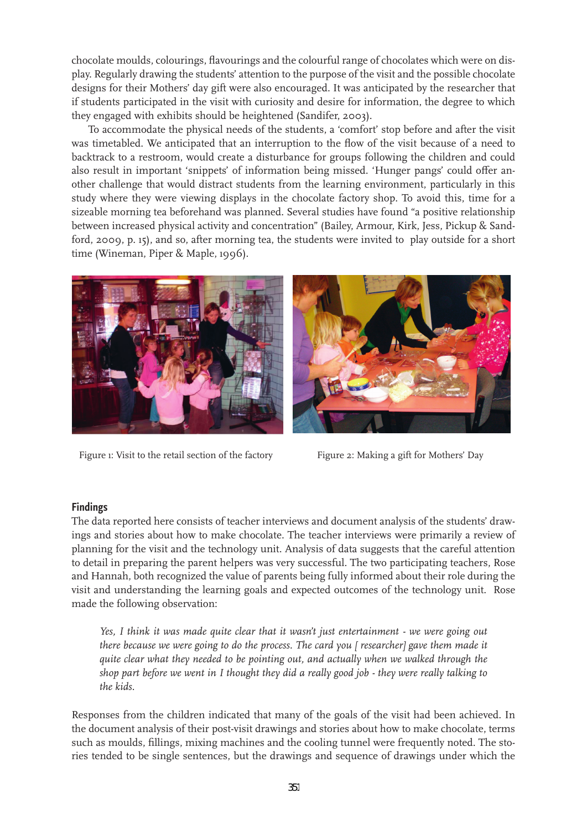chocolate moulds, colourings, flavourings and the colourful range of chocolates which were on display. Regularly drawing the students' attention to the purpose of the visit and the possible chocolate designs for their Mothers' day gift were also encouraged. It was anticipated by the researcher that if students participated in the visit with curiosity and desire for information, the degree to which they engaged with exhibits should be heightened (Sandifer, 2003).

To accommodate the physical needs of the students, a 'comfort' stop before and after the visit was timetabled. We anticipated that an interruption to the flow of the visit because of a need to backtrack to a restroom, would create a disturbance for groups following the children and could also result in important 'snippets' of information being missed. 'Hunger pangs' could offer another challenge that would distract students from the learning environment, particularly in this study where they were viewing displays in the chocolate factory shop. To avoid this, time for a sizeable morning tea beforehand was planned. Several studies have found "a positive relationship between increased physical activity and concentration" (Bailey, Armour, Kirk, Jess, Pickup & Sandford, 2009, p. 15), and so, after morning tea, the students were invited to play outside for a short time (Wineman, Piper & Maple, 1996).



Figure 1: Visit to the retail section of the factory Figure 2: Making a gift for Mothers' Day

# **Findings**

The data reported here consists of teacher interviews and document analysis of the students' drawings and stories about how to make chocolate. The teacher interviews were primarily a review of planning for the visit and the technology unit. Analysis of data suggests that the careful attention to detail in preparing the parent helpers was very successful. The two participating teachers, Rose and Hannah, both recognized the value of parents being fully informed about their role during the visit and understanding the learning goals and expected outcomes of the technology unit. Rose made the following observation:

*Yes, I think it was made quite clear that it wasn't just entertainment - we were going out there because we were going to do the process. The card you [ researcher] gave them made it quite clear what they needed to be pointing out, and actually when we walked through the shop part before we went in I thought they did a really good job - they were really talking to the kids.*

Responses from the children indicated that many of the goals of the visit had been achieved. In the document analysis of their post-visit drawings and stories about how to make chocolate, terms such as moulds, fillings, mixing machines and the cooling tunnel were frequently noted. The stories tended to be single sentences, but the drawings and sequence of drawings under which the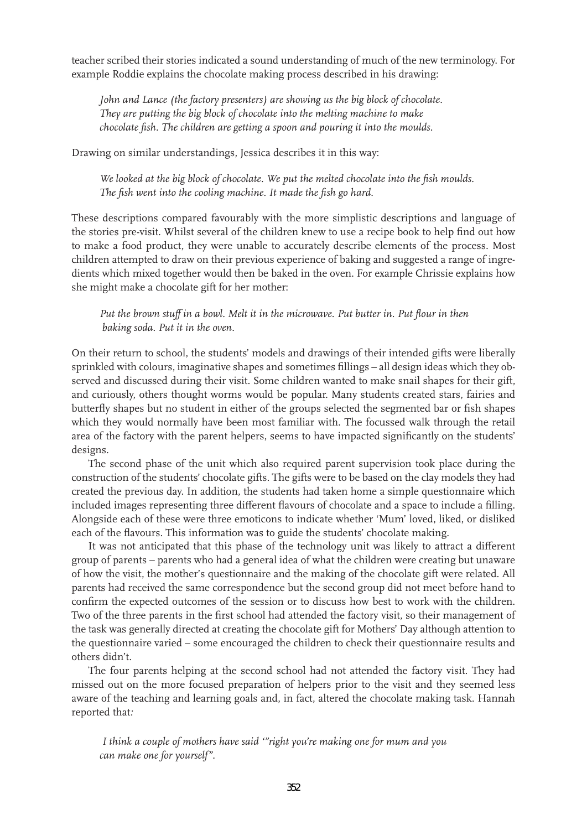teacher scribed their stories indicated a sound understanding of much of the new terminology. For example Roddie explains the chocolate making process described in his drawing:

*John and Lance (the factory presenters) are showing us the big block of chocolate. They are putting the big block of chocolate into the melting machine to make chocolate fish. The children are getting a spoon and pouring it into the moulds.*

Drawing on similar understandings, Jessica describes it in this way:

*We looked at the big block of chocolate. We put the melted chocolate into the fish moulds. The fish went into the cooling machine. It made the fish go hard.*

These descriptions compared favourably with the more simplistic descriptions and language of the stories pre-visit. Whilst several of the children knew to use a recipe book to help find out how to make a food product, they were unable to accurately describe elements of the process. Most children attempted to draw on their previous experience of baking and suggested a range of ingredients which mixed together would then be baked in the oven. For example Chrissie explains how she might make a chocolate gift for her mother:

*Put the brown stuff in a bowl. Melt it in the microwave. Put butter in. Put flour in then baking soda. Put it in the oven.*

On their return to school, the students' models and drawings of their intended gifts were liberally sprinkled with colours, imaginative shapes and sometimes fillings – all design ideas which they observed and discussed during their visit. Some children wanted to make snail shapes for their gift, and curiously, others thought worms would be popular. Many students created stars, fairies and butterfly shapes but no student in either of the groups selected the segmented bar or fish shapes which they would normally have been most familiar with. The focussed walk through the retail area of the factory with the parent helpers, seems to have impacted significantly on the students' designs.

The second phase of the unit which also required parent supervision took place during the construction of the students' chocolate gifts. The gifts were to be based on the clay models they had created the previous day. In addition, the students had taken home a simple questionnaire which included images representing three different flavours of chocolate and a space to include a filling. Alongside each of these were three emoticons to indicate whether 'Mum' loved, liked, or disliked each of the flavours. This information was to guide the students' chocolate making.

It was not anticipated that this phase of the technology unit was likely to attract a different group of parents – parents who had a general idea of what the children were creating but unaware of how the visit, the mother's questionnaire and the making of the chocolate gift were related. All parents had received the same correspondence but the second group did not meet before hand to confirm the expected outcomes of the session or to discuss how best to work with the children. Two of the three parents in the first school had attended the factory visit, so their management of the task was generally directed at creating the chocolate gift for Mothers' Day although attention to the questionnaire varied – some encouraged the children to check their questionnaire results and others didn't.

The four parents helping at the second school had not attended the factory visit. They had missed out on the more focused preparation of helpers prior to the visit and they seemed less aware of the teaching and learning goals and, in fact, altered the chocolate making task. Hannah reported that*:*

*I think a couple of mothers have said '"right you're making one for mum and you can make one for yourself".*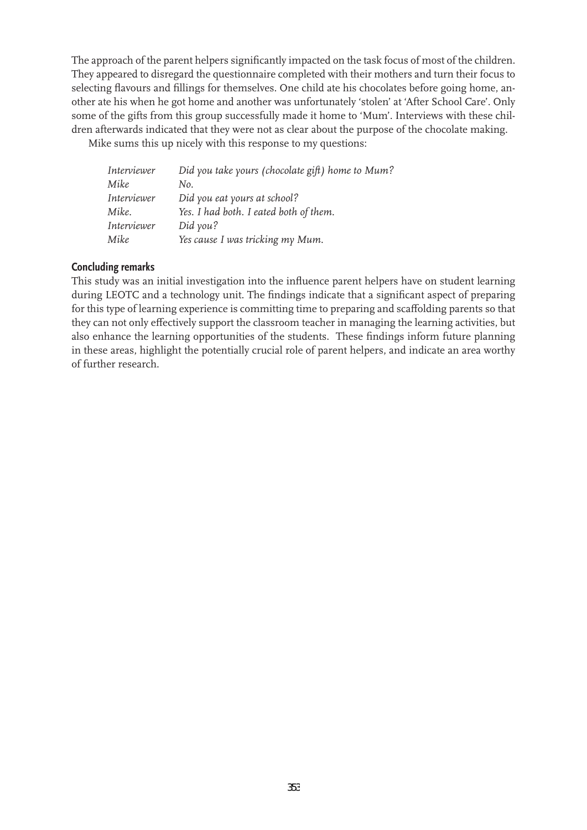The approach of the parent helpers significantly impacted on the task focus of most of the children. They appeared to disregard the questionnaire completed with their mothers and turn their focus to selecting flavours and fillings for themselves. One child ate his chocolates before going home, another ate his when he got home and another was unfortunately 'stolen' at 'After School Care'. Only some of the gifts from this group successfully made it home to 'Mum'. Interviews with these children afterwards indicated that they were not as clear about the purpose of the chocolate making.

Mike sums this up nicely with this response to my questions:

| Interviewer | Did you take yours (chocolate gift) home to Mum? |
|-------------|--------------------------------------------------|
| Mike        | No.                                              |
| Interviewer | Did you eat yours at school?                     |
| Mike.       | Yes. I had both. I eated both of them.           |
| Interviewer | Did you?                                         |
| Mike        | Yes cause I was tricking my Mum.                 |

# **Concluding remarks**

This study was an initial investigation into the influence parent helpers have on student learning during LEOTC and a technology unit. The findings indicate that a significant aspect of preparing for this type of learning experience is committing time to preparing and scaffolding parents so that they can not only effectively support the classroom teacher in managing the learning activities, but also enhance the learning opportunities of the students. These findings inform future planning in these areas, highlight the potentially crucial role of parent helpers, and indicate an area worthy of further research.